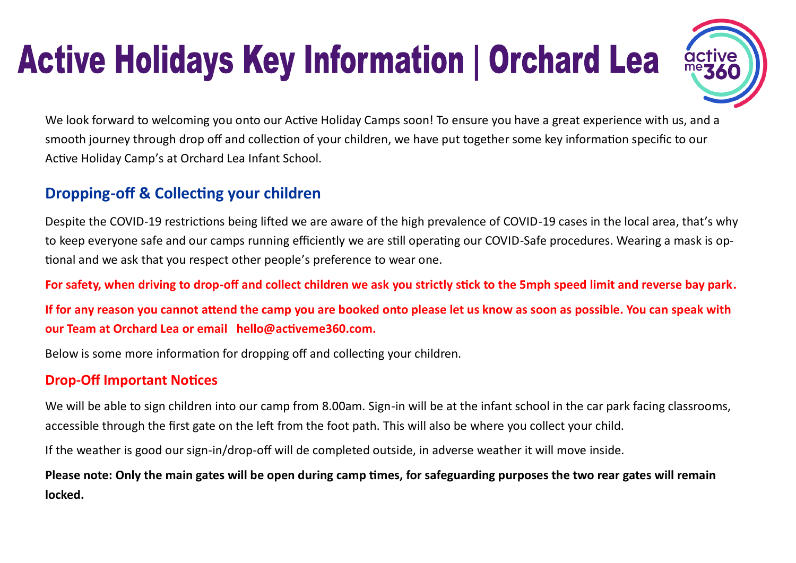# **Active Holidays Key Information | Orchard Lea**



We look forward to welcoming you onto our Active Holiday Camps soon! To ensure you have a great experience with us, and a smooth journey through drop off and collection of your children, we have put together some key information specific to our Active Holiday Camp's at Orchard Lea Infant School.

## **Dropping-off & Collecting your children**

Despite the COVID-19 restrictions being lifted we are aware of the high prevalence of COVID-19 cases in the local area, that's why to keep everyone safe and our camps running efficiently we are still operating our COVID-Safe procedures. Wearing a mask is optional and we ask that you respect other people's preference to wear one.

**For safety, when driving to drop-off and collect children we ask you strictly stick to the 5mph speed limit and reverse bay park.**

**If for any reason you cannot attend the camp you are booked onto please let us know as soon as possible. You can speak with our Team at Orchard Lea or email hello@activeme360.com.**

Below is some more information for dropping off and collecting your children.

#### **Drop-Off Important Notices**

We will be able to sign children into our camp from 8.00am. Sign-in will be at the infant school in the car park facing classrooms, accessible through the first gate on the left from the foot path. This will also be where you collect your child.

If the weather is good our sign-in/drop-off will de completed outside, in adverse weather it will move inside.

**Please note: Only the main gates will be open during camp times, for safeguarding purposes the two rear gates will remain locked.**